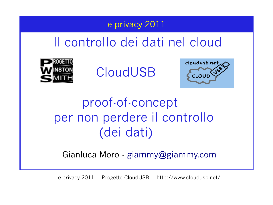## e-privacy 2011

# Il controllo dei dati nel cloud



CloudUSB



# proof-of-concept per non perdere il controllo (dei dati)

Gianluca Moro - [giammy@giammy.com](mailto:giammy@giammy.com)

e-privacy 2011 – Progetto CloudUSB – http://www.cloudusb.net/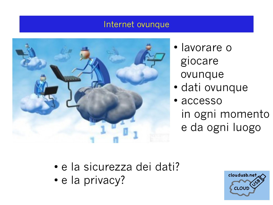### Internet ovunque



- lavorare o giocare ovunque
- dati ovunque
- accesso in ogni momento e da ogni luogo

- e la sicurezza dei dati?
- e la privacy?

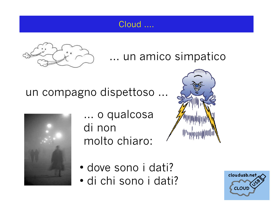## Cloud ....



## … un amico simpatico

## un compagno dispettoso ...



… o qualcosa di non molto chiaro:



- dove sono i dati?
- di chi sono i dati?

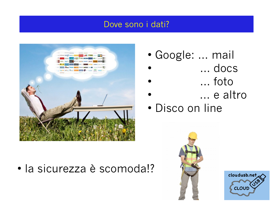#### Dove sono i dati?



• la sicurezza è scomoda!?

- Google: … mail
- … docs
- … foto
- ... e altro
- Disco on line



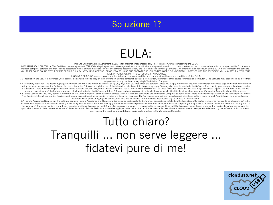## Soluzione 1?

## EULA:

This End End User License Agreement (EULA) is for informational purposes only. There is no software accompanying the EULA.

IMPORTANT-READ CAREFULLY: This End-User License Agreement ("EULA") is a legal agreement between you (either an individual or a single entity) and xxxxxxxx Corporation for the xxxxxxxx software that accompanies this EULA, w includes computer software and may include associated media, printed materials, "online" or electronic documentation, and Internet-based services ("Software"). An amendment or addendum to this EULA may accompany the softwa YOU AGREE TO BE BOUND BY THE TERMS OF THIS EULA BY INSTALLING, COPYING, OR OTHERWISE USING THE SOFTWARE. IF YOU DO NOT AGREE, DO NOT INSTALL, COPY, OR USE THE SOFTWARE; YOU MAY RETURN IT TO YOUR PLACE OF PURCHASE FOR A FULL REFUND, IF APPLICABLE.

1. GRANT OF LICENSE. xxxxxxxx grants you the following rights provided that you comply with all terms and conditions of this EULA:

1.1 Installation and use. You may install, use, access, display and run one copy of the Software on a single computer, such as a workstation, terminal or other device ("Workstation Computer"). The Software may not be used one processor at any one time on any single Workstation Computer.

1.2 Mandatory Activation. The license rights granted under this EULA are limited to the first thirty (30) days after you first install the Software unless you supply information required to activate your licensed copy in t during the setup sequence of the Software. You can activate the Software through the use of the Internet or telephone; toll charges may apply. You may also need to reactivate the Software if you modify your computer hardwa the Software. There are technological measures in this Software that are designed to prevent unlicensed use of the Software. xxxxxxxx will use those measures to confirm you have a legally licensed copy of the Software. If using a licensed copy of the Software, you are not allowed to install the Software or future Software updates, xxxxxxxx will not collect any personally identifiable information from your Workstation Computer during this pr

1.3 Device Connections. You may permit a maximum of five (5) computers or other electronic devices (each a "Device") to connect to the Workstation Computer to utilize one or more of the following services of the Software: Print Services, Internet Information Services, and remote access (including connection sharing and telephony services). The five connection maximum includes any indirect connections made through "multiplexing" or other sof hardware which pools or aggregates connections. This five connection maximum does not apply to any other uses of the Software.

1.4 Remote Assistance/NetMeeting. The Software contains Remote Assistance and NetMeeting technologies that enable the Software or applications installed on the Workstation Computer (sometimes referred to as a host device) accessed remotely from other Devices. When you are using Remote Assistance or NetMeeting (or other software which provides similar functionality for a similar purpose) you may share your session with other users without an the number of Device connections and without acquiring additional licenses for the Software. For xxxxxxx and non-xxxxxxx applications, you should consult the license agreement accompanying the applicable software or contac applicable licensor to determine whether use of the software with Remote Assistance or NetMeeting is permitted without an additional license. As used above, a session means the experience delivered by the Software similar user is using the input, output and display peripherals attached to the Workstation Computer.

## Tutto chiaro? Tranquilli … non serve leggere … fidatevi pure di me!

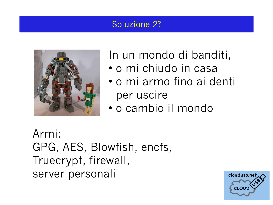## Soluzione 2?



In un mondo di banditi,

- o mi chiudo in casa
- o mi armo fino ai denti per uscire
- o cambio il mondo

Armi: GPG, AES, Blowfish, encfs, Truecrypt, firewall, server personali

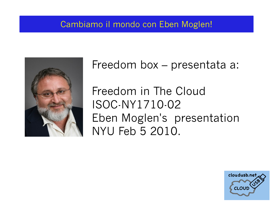### Cambiamo il mondo con Eben Moglen!



 Freedom box – presentata a: Freedom in The Cloud ISOC-NY1710-02 Eben Moglen's presentation NYU Feb 5 2010.

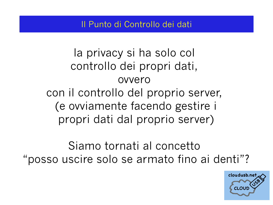### Il Punto di Controllo dei dati

la privacy si ha solo col controllo dei propri dati, ovvero con il controllo del proprio server, (e ovviamente facendo gestire i propri dati dal proprio server)

Siamo tornati al concetto "posso uscire solo se armato fino ai denti"?

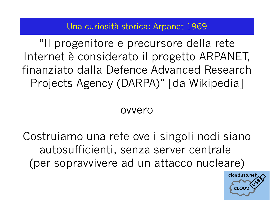### Una curiosità storica: Arpanet 1969

"Il progenitore e precursore della rete Internet è considerato il progetto ARPANET, finanziato dalla Defence Advanced Research Projects Agency (DARPA)" [da Wikipedia]

## ovvero

Costruiamo una rete ove i singoli nodi siano autosufficienti, senza server centrale (per sopravvivere ad un attacco nucleare)

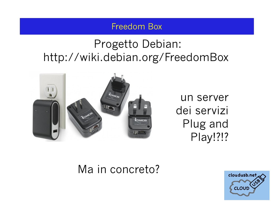#### Freedom Box

## Progetto Debian: <http://wiki.debian.org/FreedomBox>



un server dei servizi Plug and Play!?!?

## Ma in concreto?

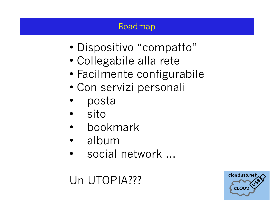## Roadmap

- Dispositivo "compatto"
- Collegabile alla rete
- Facilmente configurabile
- Con servizi personali
- posta
- sito
- bookmark
- album
- social network …

# Un UTOPIA???

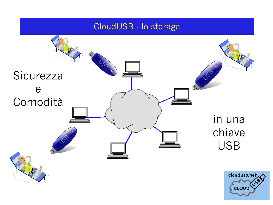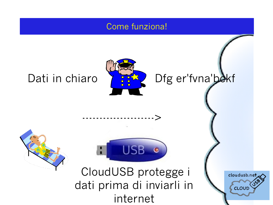#### Come funziona!



--------------------->

Dati in chiaro Y 382 Dfg er'fvna'bekf



CloudUSB protegge i dati prima di inviarli in internet

USB

cloudusb.net CLOUD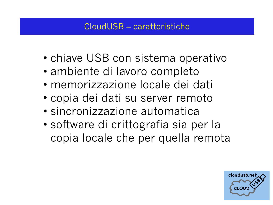## CloudUSB – caratteristiche

- chiave USB con sistema operativo
- ambiente di lavoro completo
- memorizzazione locale dei dati
- copia dei dati su server remoto
- sincronizzazione automatica
- software di crittografia sia per la copia locale che per quella remota

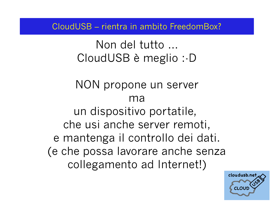CloudUSB – rientra in ambito FreedomBox?

Non del tutto … CloudUSB è meglio :-D

NON propone un server ma un dispositivo portatile, che usi anche server remoti, e mantenga il controllo dei dati. (e che possa lavorare anche senza collegamento ad Internet!)

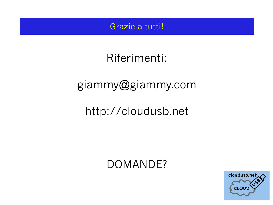#### Grazie a tutti!

# Riferimenti:

# [giammy@giammy.com](mailto:giammy@giammy.com)

# [http://cloudusb.net](http://cloudusb.net/)

## DOMANDE?